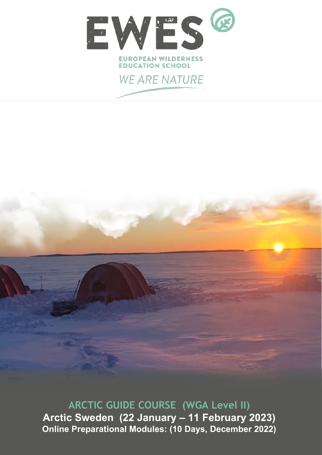

**ARCTIC GUIDE COURSE (WGA Level II) Arctic Sweden (22 January – 11 February 2023) Online Preparational Modules: (10 Days, December 2022)**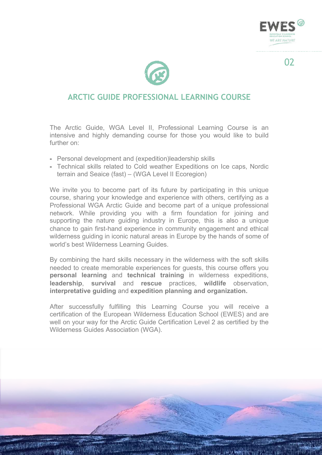

## **ARCTIC GUIDE PROFESSIONAL LEARNING COURSE**

The Arctic Guide, WGA Level II, Professional Learning Course is an intensive and highly demanding course for those you would like to build further on:

- Personal development and (expedition)leadership skills
- Technical skills related to Cold weather Expeditions on Ice caps, Nordic terrain and Seaice (fast) – (WGA Level II Ecoregion)

We invite you to become part of its future by participating in this unique course, sharing your knowledge and experience with others, certifying as a Professional WGA Arctic Guide and become part of a unique professional network. While providing you with a firm foundation for joining and supporting the nature guiding industry in Europe, this is also a unique chance to gain first-hand experience in community engagement and ethical wilderness guiding in iconic natural areas in Europe by the hands of some of world's best Wilderness Learning Guides.

By combining the hard skills necessary in the wilderness with the soft skills needed to create memorable experiences for guests, this course offers you **personal learning** and **technical training** in wilderness expeditions, **leadership**, **survival** and **rescue** practices, **wildlife** observation, **interpretative guiding** and **expedition planning and organization.**

After successfully fulfilling this Learning Course you will receive a certification of the European Wilderness Education School (EWES) and are well on your way for the Arctic Guide Certification Level 2 as certified by the Wilderness Guides Association (WGA).



 $\Omega$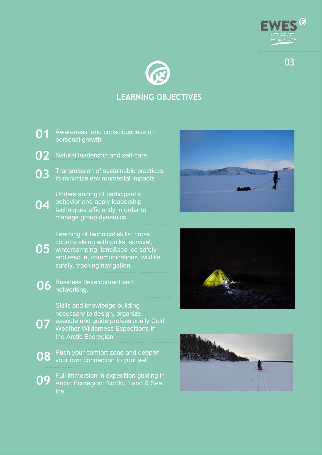



# **LEARNING OBJECTIVES**







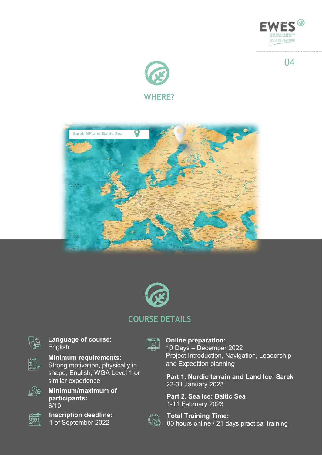







### **COURSE DETAILS**



**Language of course:** English



**Minimum requirements:**

Strong motivation, physically in shape, English, WGA Level 1 or similar experience



**Minimum/maximum of participants:** 6/10



**Inscription deadline:** 1 of September 2022



**Online preparation:** 10 Days – December 2022 Project Introduction, Navigation, Leadership and Expedition planning

**Part 1. Nordic terrain and Land Ice: Sarek** 22-31 January 2023

**Part 2. Sea Ice: Baltic Sea** 1-11 February 2023

**Total Training Time:** 80 hours online / 21 days practical training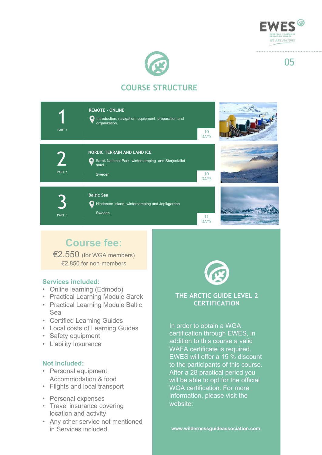



# **COURSE STRUCTURE**

| PART <sub>1</sub> | <b>REMOTE - ONLINE</b><br>Introduction, navigation, equipment, preparation and<br>organization.                     | 10<br><b>DAYS</b> |  |
|-------------------|---------------------------------------------------------------------------------------------------------------------|-------------------|--|
| PART <sub>2</sub> | <b>NORDIC TERRAIN AND LAND ICE</b><br>Sarek National Park, wintercamping and Storjsofallet<br>О<br>hotel.<br>Sweden | 10<br><b>DAYS</b> |  |
| PART <sub>3</sub> | <b>Baltic Sea</b><br>Hinderson Island, wintercamping and Jopikgarden<br>Sweden.                                     | 11<br><b>DAYS</b> |  |

# **Course fee:**

€2.550 (for WGA members) €2.850 for non-members

#### **Services included:**

- Online learning (Edmodo)
- Practical Learning Module Sarek
- Practical Learning Module Baltic Sea
- Certified Learning Guides
- Local costs of Learning Guides
- Safety equipment
- Liability Insurance

#### **Not included:**

- Personal equipment Accommodation & food
- Flights and local transport
- Personal expenses
- Travel insurance covering location and activity
- Any other service not mentioned in Services included.



#### **THE ARCTIC GUIDE LEVEL 2 CERTIFICATION**

In order to obtain a WGA certification through EWES, in addition to this course a valid WAFA certificate is required. EWES will offer a 15 % discount to the participants of this course. After a 28 practical period you will be able to opt for the official WGA certification. For more information, please visit the website: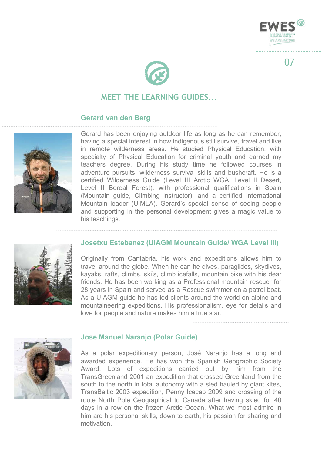



## **MEET THE LEARNING GUIDES...**

#### **Gerard van den Berg**



Gerard has been enjoying outdoor life as long as he can remember, having a special interest in how indigenous still survive, travel and live in remote wilderness areas. He studied Physical Education, with specialty of Physical Education for criminal youth and earned my teachers degree. During his study time he followed courses in adventure pursuits, wilderness survival skills and bushcraft. He is a certified Wilderness Guide (Level III Arctic WGA, Level II Desert, Level II Boreal Forest), with professional qualifications in Spain (Mountain guide, Climbing instructor); and a certified International Mountain leader (UIMLA). Gerard's special sense of seeing people and supporting in the personal development gives a magic value to his teachings.



#### **Josetxu Estebanez (UIAGM Mountain Guide/ WGA Level III)**

Originally from Cantabria, his work and expeditions allows him to travel around the globe. When he can he dives, paraglides, skydives, kayaks, rafts, climbs, ski's, climb icefalls, mountain bike with his dear friends. He has been working as a Professional mountain rescuer for 28 years in Spain and served as a Rescue swimmer on a patrol boat. As a UIAGM guide he has led clients around the world on alpine and mountaineering expeditions. His professionalism, eye for details and love for people and nature makes him a true star.



#### **Jose Manuel Naranjo (Polar Guide)**

As a polar expeditionary person, José Naranjo has a long and awarded experience. He has won the Spanish Geographic Society Award. Lots of expeditions carried out by him from the TransGreenland 2001 an expedition that crossed Greenland from the south to the north in total autonomy with a sled hauled by giant kites, TransBaltic 2003 expedition, Penny Icecap 2009 and crossing of the route North Pole Geographical to Canada after having skied for 40 days in a row on the frozen Arctic Ocean. What we most admire in him are his personal skills, down to earth, his passion for sharing and motivation.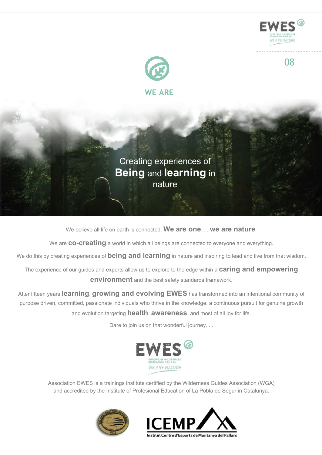

We believe all life on earth is connected. **We are one**. . . **we are nature**.

We are **co-creating** a world in which all beings are connected to everyone and everything.

We do this by creating experiences of **being and learning** in nature and inspiring to lead and live from that wisdom.

The experience of our guides and experts allow us to explore to the edge within a **caring and empowering environment** and the best safety standards framework.

After fifteen years **learning**, **growing and evolving EWES** has transformed into an intentional community of purpose driven, committed, passionate individuals who thrive in the knowledge, a continuous pursuit for genuine growth and evolution targeting **health**, **awareness**, and most of all joy for life.

Dare to join us on that wonderful journey. . .



Association EWES is a trainings institute certified by the Wilderness Guides Association (WGA) and accredited by the Institute of Profesional Education of La Pobla de Segur in Catalunya.